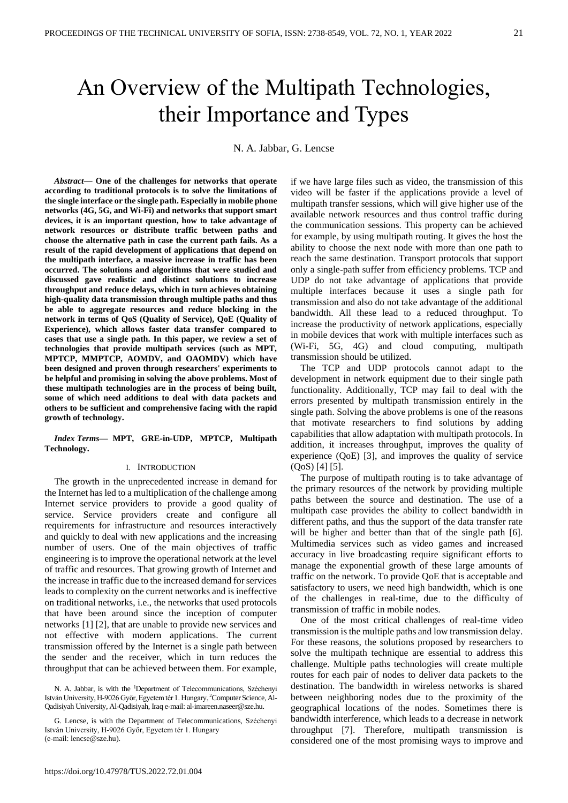## An Оverview of the Мultipath Тechnologies, their Importance and Types

N. A. Jabbar, G. Lencse

*Abstract***— One of the challenges for networks that operate according to traditional protocols is to solve the limitations of the single interface or the single path. Especially in mobile phone networks (4G, 5G, and Wi-Fi) and networks that support smart devices, it is an important question, how to take advantage of network resources or distribute traffic between paths and choose the alternative path in case the current path fails. As a result of the rapid development of applications that depend on the multipath interface, a massive increase in traffic has been occurred. The solutions and algorithms that were studied and discussed gave realistic and distinct solutions to increase throughput and reduce delays, which in turn achieves obtaining high-quality data transmission through multiple paths and thus be able to aggregate resources and reduce blocking in the network in terms of QoS (Quality of Service), QoE (Quality of Experience), which allows faster data transfer compared to cases that use a single path. In this paper, we review a set of technologies that provide multipath services (such as MPT, MPTCP, MMPTCP, AOMDV, and OAOMDV) which have been designed and proven through researchers' experiments to be helpful and promising in solving the above problems. Most of these multipath technologies are in the process of being built, some of which need additions to deal with data packets and others to be sufficient and comprehensive facing with the rapid growth of technology.**

*Index Terms***— MPT, GRE-in-UDP, MPTCP, Multipath Technology.**

#### I. INTRODUCTION

The growth in the unprecedented increase in demand for the Internet has led to a multiplication of the challenge among Internet service providers to provide a good quality of service. Service providers create and configure all requirements for infrastructure and resources interactively and quickly to deal with new applications and the increasing number of users. One of the main objectives of traffic engineering is to improve the operational network at the level of traffic and resources. That growing growth of Internet and the increase in traffic due to the increased demand for services leads to complexity on the current networks and is ineffective on traditional networks, i.e., the networks that used protocols that have been around since the inception of computer networks [1] [2], that are unable to provide new services and not effective with modern applications. The current transmission offered by the Internet is a single path between the sender and the receiver, which in turn reduces the throughput that can be achieved between them. For example,

N. A. Jabbar, is with the <sup>1</sup>Department of Telecommunications, Széchenyi István University, H-9026 Győr, Egyetem tér 1. Hungary, 2Computer Science, Al-Qadisiyah University, Al-Qadisiyah, Iraq e-mail: al-imareen.naseer@sze.hu.

G. Lencse, is with the Department of Telecommunications, Széchenyi István University, H-9026 Győr, Egyetem tér 1. Hungary (e-mail[: lencse@sze.hu\)](mailto:lencse@sze.hu).

if we have large files such as video, the transmission of this video will be faster if the applications provide a level of multipath transfer sessions, which will give higher use of the available network resources and thus control traffic during the communication sessions. This property can be achieved for example, by using multipath routing. It gives the host the ability to choose the next node with more than one path to reach the same destination. Transport protocols that support only a single-path suffer from efficiency problems. TCP and UDP do not take advantage of applications that provide multiple interfaces because it uses a single path for transmission and also do not take advantage of the additional bandwidth. All these lead to a reduced throughput. To increase the productivity of network applications, especially in mobile devices that work with multiple interfaces such as (Wi-Fi, 5G, 4G) and cloud computing, multipath transmission should be utilized.

The TCP and UDP protocols cannot adapt to the development in network equipment due to their single path functionality. Additionally, TCP may fail to deal with the errors presented by multipath transmission entirely in the single path. Solving the above problems is one of the reasons that motivate researchers to find solutions by adding capabilities that allow adaptation with multipath protocols. In addition, it increases throughput, improves the quality of experience (QoE) [3], and improves the quality of service (QoS) [4] [5].

The purpose of multipath routing is to take advantage of the primary resources of the network by providing multiple paths between the source and destination. The use of a multipath case provides the ability to collect bandwidth in different paths, and thus the support of the data transfer rate will be higher and better than that of the single path [6]. Multimedia services such as video games and increased accuracy in live broadcasting require significant efforts to manage the exponential growth of these large amounts of traffic on the network. To provide QoE that is acceptable and satisfactory to users, we need high bandwidth, which is one of the challenges in real-time, due to the difficulty of transmission of traffic in mobile nodes.

One of the most critical challenges of real-time video transmission is the multiple paths and low transmission delay. For these reasons, the solutions proposed by researchers to solve the multipath technique are essential to address this challenge. Multiple paths technologies will create multiple routes for each pair of nodes to deliver data packets to the destination. The bandwidth in wireless networks is shared between neighboring nodes due to the proximity of the geographical locations of the nodes. Sometimes there is bandwidth interference, which leads to a decrease in network throughput [7]. Therefore, multipath transmission is considered one of the most promising ways to improve and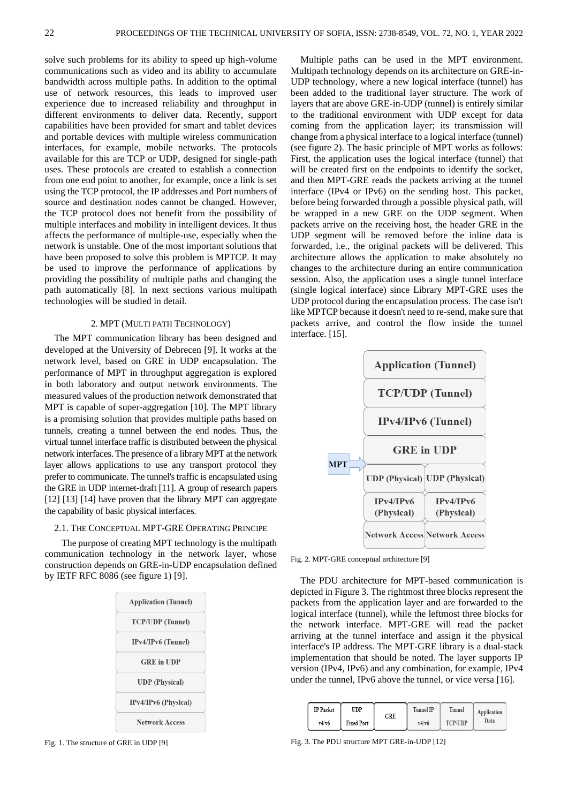solve such problems for its ability to speed up high-volume communications such as video and its ability to accumulate bandwidth across multiple paths. In addition to the optimal use of network resources, this leads to improved user experience due to increased reliability and throughput in different environments to deliver data. Recently, support capabilities have been provided for smart and tablet devices and portable devices with multiple wireless communication interfaces, for example, mobile networks. The protocols available for this are TCP or UDP, designed for single-path uses. These protocols are created to establish a connection from one end point to another, for example, once a link is set using the TCP protocol, the IP addresses and Port numbers of source and destination nodes cannot be changed. However, the TCP protocol does not benefit from the possibility of multiple interfaces and mobility in intelligent devices. It thus affects the performance of multiple-use, especially when the network is unstable. One of the most important solutions that have been proposed to solve this problem is MPTCP. It may be used to improve the performance of applications by providing the possibility of multiple paths and changing the path automatically [8]. In next sections various multipath technologies will be studied in detail.

### 2. MPT (MULTI PATH TECHNOLOGY)

The MPT communication library has been designed and developed at the University of Debrecen [9]. It works at the network level, based on GRE in UDP encapsulation. The performance of MPT in throughput aggregation is explored in both laboratory and output network environments. The measured values of the production network demonstrated that MPT is capable of super-aggregation [10]. The MPT library is a promising solution that provides multiple paths based on tunnels, creating a tunnel between the end nodes. Thus, the virtual tunnel interface traffic is distributed between the physical network interfaces. The presence of a library MPT at the network layer allows applications to use any transport protocol they prefer to communicate. The tunnel's traffic is encapsulated using the GRE in UDP internet-draft [11]. A group of research papers [12] [13] [14] have proven that the library MPT can aggregate the capability of basic physical interfaces.

### 2.1. THE CONCEPTUAL MPT-GRE OPERATING PRINCIPE

 The purpose of creating MPT technology is the multipath communication technology in the network layer, whose construction depends on GRE-in-UDP encapsulation defined by IETF RFC 8086 (see figure 1) [9].



Fig. 1. The structure of GRE in UDP [9]

Multiple paths can be used in the MPT environment. Multipath technology depends on its architecture on GRE-in-UDP technology, where a new logical interface (tunnel) has been added to the traditional layer structure. The work of layers that are above GRE-in-UDP (tunnel) is entirely similar to the traditional environment with UDP except for data coming from the application layer; its transmission will change from a physical interface to a logical interface (tunnel) (see figure 2). The basic principle of MPT works as follows: First, the application uses the logical interface (tunnel) that will be created first on the endpoints to identify the socket, and then MPT-GRE reads the packets arriving at the tunnel interface (IPv4 or IPv6) on the sending host. This packet, before being forwarded through a possible physical path, will be wrapped in a new GRE on the UDP segment. When packets arrive on the receiving host, the header GRE in the UDP segment will be removed before the inline data is forwarded, i.e., the original packets will be delivered. This architecture allows the application to make absolutely no changes to the architecture during an entire communication session. Also, the application uses a single tunnel interface (single logical interface) since Library MPT-GRE uses the UDP protocol during the encapsulation process. The case isn't like MPTCP because it doesn't need to re-send, make sure that packets arrive, and control the flow inside the tunnel interface. [15].



Fig. 2. MPT-GRE conceptual architecture [9]

The PDU architecture for MPT-based communication is depicted in Figure 3. The rightmost three blocks represent the packets from the application layer and are forwarded to the logical interface (tunnel), while the leftmost three blocks for the network interface. MPT-GRE will read the packet arriving at the tunnel interface and assign it the physical interface's IP address. The MPT-GRE library is a dual-stack implementation that should be noted. The layer supports IP version (IPv4, IPv6) and any combination, for example, IPv4 under the tunnel, IPv6 above the tunnel, or vice versa [16].

| <b>IP</b> Packet | UDP               |     | <b>Tunnel IP</b> | Tunnel         | Application<br>Data |
|------------------|-------------------|-----|------------------|----------------|---------------------|
| v4/v6            | <b>Fixed Port</b> | GRE | v4/v6            | <b>TCP/UDP</b> |                     |

Fig. 3. The PDU structure MPT GRE-in-UDP [12]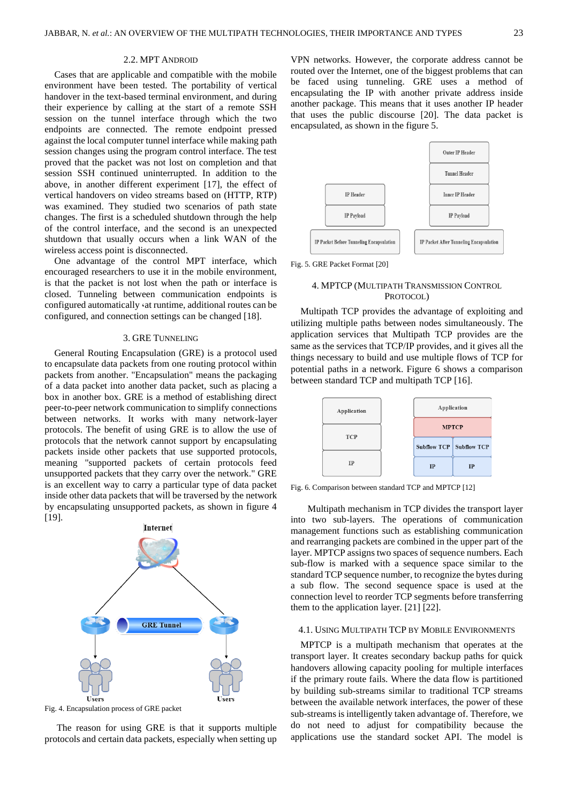### 2.2. MPT ANDROID

Cases that are applicable and compatible with the mobile environment have been tested. The portability of vertical handover in the text-based terminal environment, and during their experience by calling at the start of a remote SSH session on the tunnel interface through which the two endpoints are connected. The remote endpoint pressed against the local computer tunnel interface while making path session changes using the program control interface. The test proved that the packet was not lost on completion and that session SSH continued uninterrupted. In addition to the above, in another different experiment [17], the effect of vertical handovers on video streams based on (HTTP, RTP) was examined. They studied two scenarios of path state changes. The first is a scheduled shutdown through the help of the control interface, and the second is an unexpected shutdown that usually occurs when a link WAN of the wireless access point is disconnected.

One advantage of the control MPT interface, which encouraged researchers to use it in the mobile environment, is that the packet is not lost when the path or interface is closed. Tunneling between communication endpoints is configured automatically  $\cdot$  at runtime, additional routes can be configured, and connection settings can be changed [18].

### 3. GRE TUNNELING

General Routing Encapsulation (GRE) is a protocol used to encapsulate data packets from one routing protocol within packets from another. "Encapsulation" means the packaging of a data packet into another data packet, such as placing a box in another box. GRE is a method of establishing direct peer-to-peer network communication to simplify connections between networks. It works with many network-layer protocols. The benefit of using GRE is to allow the use of protocols that the network cannot support by encapsulating packets inside other packets that use supported protocols, meaning "supported packets of certain protocols feed unsupported packets that they carry over the network." GRE is an excellent way to carry a particular type of data packet inside other data packets that will be traversed by the network by encapsulating unsupported packets, as shown in figure 4 [19].



Fig. 4. Encapsulation process of GRE packet

The reason for using GRE is that it supports multiple protocols and certain data packets, especially when setting up

VPN networks. However, the corporate address cannot be routed over the Internet, one of the biggest problems that can be faced using tunneling. GRE uses a method of encapsulating the IP with another private address inside another package. This means that it uses another IP header that uses the public discourse [20]. The data packet is encapsulated, as shown in the figure 5.





### 4. MPTCP (MULTIPATH TRANSMISSION CONTROL PROTOCOL)

Multipath TCP provides the advantage of exploiting and utilizing multiple paths between nodes simultaneously. The application services that Multipath TCP provides are the same as the services that TCP/IP provides, and it gives all the things necessary to build and use multiple flows of TCP for potential paths in a network. Figure 6 shows a comparison between standard TCP and multipath TCP [16].



Fig. 6. Comparison between standard TCP and MPTCP [12]

 Multipath mechanism in TCP divides the transport layer into two sub-layers. The operations of communication management functions such as establishing communication and rearranging packets are combined in the upper part of the layer. MPTCP assigns two spaces of sequence numbers. Each sub-flow is marked with a sequence space similar to the standard TCP sequence number, to recognize the bytes during a sub flow. The second sequence space is used at the connection level to reorder TCP segments before transferring them to the application layer. [21] [22].

### 4.1. USING MULTIPATH TCP BY MOBILE ENVIRONMENTS

MPTCP is a multipath mechanism that operates at the transport layer. It creates secondary backup paths for quick handovers allowing capacity pooling for multiple interfaces if the primary route fails. Where the data flow is partitioned by building sub-streams similar to traditional TCP streams between the available network interfaces, the power of these sub-streams is intelligently taken advantage of. Therefore, we do not need to adjust for compatibility because the applications use the standard socket API. The model is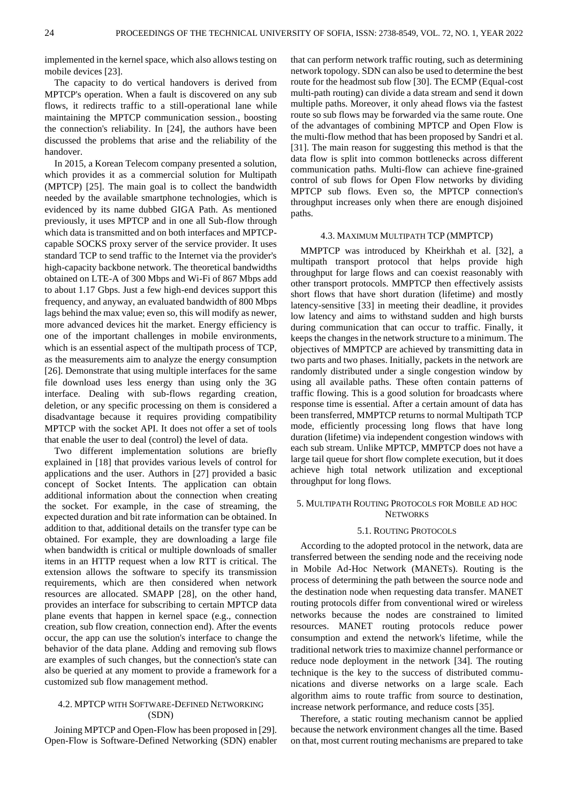implemented in the kernel space, which also allows testing on mobile devices [23].

The capacity to do vertical handovers is derived from MPTCP's operation. When a fault is discovered on any sub flows, it redirects traffic to a still-operational lane while maintaining the MPTCP communication session., boosting the connection's reliability. In [24], the authors have been discussed the problems that arise and the reliability of the handover.

In 2015, a Korean Telecom company presented a solution, which provides it as a commercial solution for Multipath (MPTCP) [25]. The main goal is to collect the bandwidth needed by the available smartphone technologies, which is evidenced by its name dubbed GIGA Path. As mentioned previously, it uses MPTCP and in one all Sub-flow through which data is transmitted and on both interfaces and MPTCPcapable SOCKS proxy server of the service provider. It uses standard TCP to send traffic to the Internet via the provider's high-capacity backbone network. The theoretical bandwidths obtained on LTE-A of 300 Mbps and Wi-Fi of 867 Mbps add to about 1.17 Gbps. Just a few high-end devices support this frequency, and anyway, an evaluated bandwidth of 800 Mbps lags behind the max value; even so, this will modify as newer, more advanced devices hit the market. Energy efficiency is one of the important challenges in mobile environments, which is an essential aspect of the multipath process of TCP, as the measurements aim to analyze the energy consumption [26]. Demonstrate that using multiple interfaces for the same file download uses less energy than using only the 3G interface. Dealing with sub-flows regarding creation, deletion, or any specific processing on them is considered a disadvantage because it requires providing compatibility MPTCP with the socket API. It does not offer a set of tools that enable the user to deal (control) the level of data.

Two different implementation solutions are briefly explained in [18] that provides various levels of control for applications and the user. Authors in [27] provided a basic concept of Socket Intents. The application can obtain additional information about the connection when creating the socket. For example, in the case of streaming, the expected duration and bit rate information can be obtained. In addition to that, additional details on the transfer type can be obtained. For example, they are downloading a large file when bandwidth is critical or multiple downloads of smaller items in an HTTP request when a low RTT is critical. The extension allows the software to specify its transmission requirements, which are then considered when network resources are allocated. SMAPP [28], on the other hand, provides an interface for subscribing to certain MPTCP data plane events that happen in kernel space (e.g., connection creation, sub flow creation, connection end). After the events occur, the app can use the solution's interface to change the behavior of the data plane. Adding and removing sub flows are examples of such changes, but the connection's state can also be queried at any moment to provide a framework for a customized sub flow management method.

### 4.2. MPTCP WITH SOFTWARE-DEFINED NETWORKING (SDN)

Joining MPTCP and Open-Flow has been proposed in [29]. Open-Flow is Software-Defined Networking (SDN) enabler that can perform network traffic routing, such as determining network topology. SDN can also be used to determine the best route for the headmost sub flow [30]. The ECMP (Equal-cost multi-path routing) can divide a data stream and send it down multiple paths. Moreover, it only ahead flows via the fastest route so sub flows may be forwarded via the same route. One of the advantages of combining MPTCP and Open Flow is the multi-flow method that has been proposed by Sandri et al. [31]. The main reason for suggesting this method is that the data flow is split into common bottlenecks across different communication paths. Multi-flow can achieve fine-grained control of sub flows for Open Flow networks by dividing MPTCP sub flows. Even so, the MPTCP connection's throughput increases only when there are enough disjoined paths.

### 4.3. MAXIMUM MULTIPATH TCP (MMPTCP)

MMPTCP was introduced by Kheirkhah et al. [32], a multipath transport protocol that helps provide high throughput for large flows and can coexist reasonably with other transport protocols. MMPTCP then effectively assists short flows that have short duration (lifetime) and mostly latency-sensitive [33] in meeting their deadline, it provides low latency and aims to withstand sudden and high bursts during communication that can occur to traffic. Finally, it keeps the changes in the network structure to a minimum. The objectives of MMPTCP are achieved by transmitting data in two parts and two phases. Initially, packets in the network are randomly distributed under a single congestion window by using all available paths. These often contain patterns of traffic flowing. This is a good solution for broadcasts where response time is essential. After a certain amount of data has been transferred, MMPTCP returns to normal Multipath TCP mode, efficiently processing long flows that have long duration (lifetime) via independent congestion windows with each sub stream. Unlike MPTCP, MMPTCP does not have a large tail queue for short flow complete execution, but it does achieve high total network utilization and exceptional throughput for long flows.

### 5. MULTIPATH ROUTING PROTOCOLS FOR MOBILE AD HOC **NETWORKS**

### 5.1. ROUTING PROTOCOLS

According to the adopted protocol in the network, data are transferred between the sending node and the receiving node in Mobile Ad-Hoc Network (MANETs). Routing is the process of determining the path between the source node and the destination node when requesting data transfer. MANET routing protocols differ from conventional wired or wireless networks because the nodes are constrained to limited resources. MANET routing protocols reduce power consumption and extend the network's lifetime, while the traditional network tries to maximize channel performance or reduce node deployment in the network [34]. The routing technique is the key to the success of distributed communications and diverse networks on a large scale. Each algorithm aims to route traffic from source to destination, increase network performance, and reduce costs [35].

Therefore, a static routing mechanism cannot be applied because the network environment changes all the time. Based on that, most current routing mechanisms are prepared to take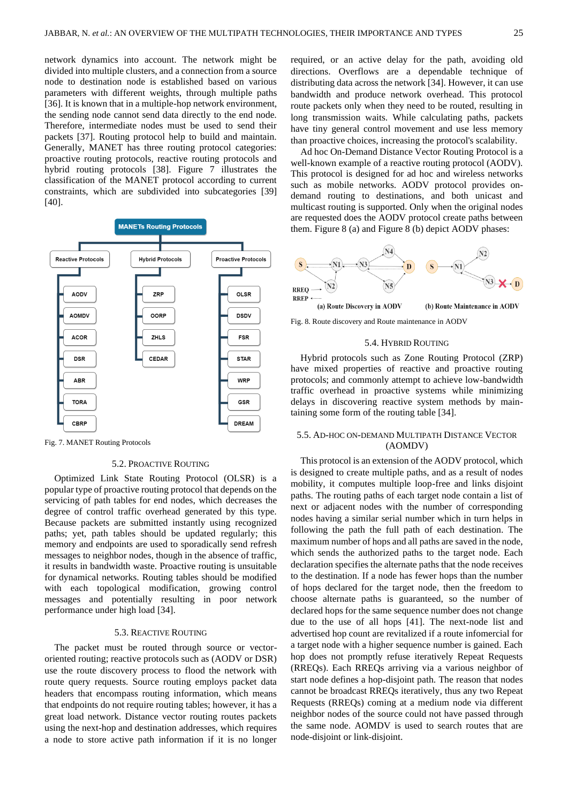network dynamics into account. The network might be divided into multiple clusters, and a connection from a source node to destination node is established based on various parameters with different weights, through multiple paths [36]. It is known that in a multiple-hop network environment, the sending node cannot send data directly to the end node. Therefore, intermediate nodes must be used to send their packets [37]. Routing protocol help to build and maintain. Generally, MANET has three routing protocol categories: proactive routing protocols, reactive routing protocols and hybrid routing protocols [38]. Figure 7 illustrates the classification of the MANET protocol according to current constraints, which are subdivided into subcategories [39] [40].



Fig. 7. MANET Routing Protocols

### 5.2. PROACTIVE ROUTING

Optimized Link State Routing Protocol (OLSR) is a popular type of proactive routing protocol that depends on the servicing of path tables for end nodes, which decreases the degree of control traffic overhead generated by this type. Because packets are submitted instantly using recognized paths; yet, path tables should be updated regularly; this memory and endpoints are used to sporadically send refresh messages to neighbor nodes, though in the absence of traffic, it results in bandwidth waste. Proactive routing is unsuitable for dynamical networks. Routing tables should be modified with each topological modification, growing control messages and potentially resulting in poor network performance under high load [34].

### 5.3. REACTIVE ROUTING

The packet must be routed through source or vectororiented routing; reactive protocols such as (AODV or DSR) use the route discovery process to flood the network with route query requests. Source routing employs packet data headers that encompass routing information, which means that endpoints do not require routing tables; however, it has a great load network. Distance vector routing routes packets using the next-hop and destination addresses, which requires a node to store active path information if it is no longer required, or an active delay for the path, avoiding old directions. Overflows are a dependable technique of distributing data across the network [34]. However, it can use bandwidth and produce network overhead. This protocol route packets only when they need to be routed, resulting in long transmission waits. While calculating paths, packets have tiny general control movement and use less memory than proactive choices, increasing the protocol's scalability.

Ad hoc On-Demand Distance Vector Routing Protocol is a well-known example of a reactive routing protocol (AODV). This protocol is designed for ad hoc and wireless networks such as mobile networks. AODV protocol provides ondemand routing to destinations, and both unicast and multicast routing is supported. Only when the original nodes are requested does the AODV protocol create paths between them. Figure 8 (a) and Figure 8 (b) depict AODV phases:



Fig. 8. Route discovery and Route maintenance in AODV

### 5.4. HYBRID ROUTING

Hybrid protocols such as Zone Routing Protocol (ZRP) have mixed properties of reactive and proactive routing protocols; and commonly attempt to achieve low-bandwidth traffic overhead in proactive systems while minimizing delays in discovering reactive system methods by maintaining some form of the routing table [34].

### 5.5. AD-HOC ON-DEMAND MULTIPATH DISTANCE VECTOR (AOMDV)

This protocol is an extension of the AODV protocol, which is designed to create multiple paths, and as a result of nodes mobility, it computes multiple loop-free and links disjoint paths. The routing paths of each target node contain a list of next or adjacent nodes with the number of corresponding nodes having a similar serial number which in turn helps in following the path the full path of each destination. The maximum number of hops and all paths are saved in the node, which sends the authorized paths to the target node. Each declaration specifies the alternate paths that the node receives to the destination. If a node has fewer hops than the number of hops declared for the target node, then the freedom to choose alternate paths is guaranteed, so the number of declared hops for the same sequence number does not change due to the use of all hops [41]. The next-node list and advertised hop count are revitalized if a route infomercial for a target node with a higher sequence number is gained. Each hop does not promptly refuse iteratively Repeat Requests (RREQs). Each RREQs arriving via a various neighbor of start node defines a hop-disjoint path. The reason that nodes cannot be broadcast RREQs iteratively, thus any two Repeat Requests (RREQs) coming at a medium node via different neighbor nodes of the source could not have passed through the same node. AOMDV is used to search routes that are node-disjoint or link-disjoint.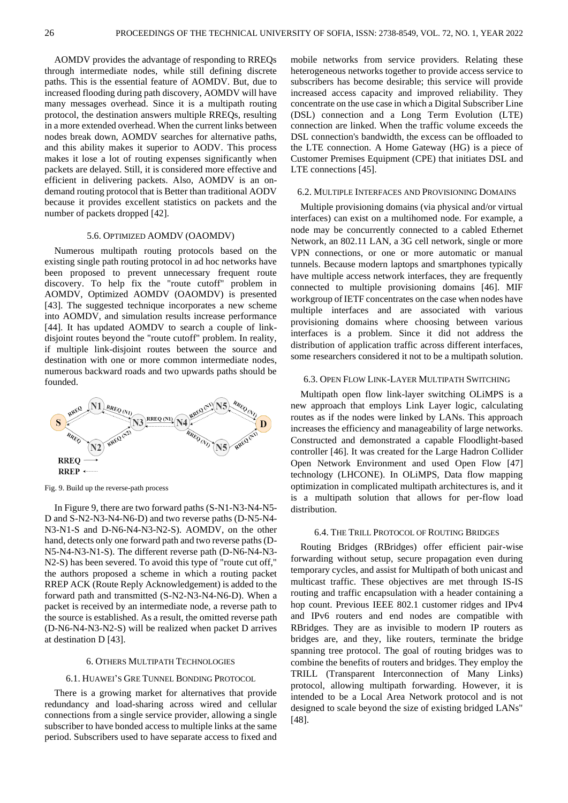AOMDV provides the advantage of responding to RREQs through intermediate nodes, while still defining discrete paths. This is the essential feature of AOMDV. But, due to increased flooding during path discovery, AOMDV will have many messages overhead. Since it is a multipath routing protocol, the destination answers multiple RREQs, resulting in a more extended overhead. When the current links between nodes break down, AOMDV searches for alternative paths, and this ability makes it superior to AODV. This process makes it lose a lot of routing expenses significantly when packets are delayed. Still, it is considered more effective and efficient in delivering packets. Also, AOMDV is an ondemand routing protocol that is Better than traditional AODV because it provides excellent statistics on packets and the number of packets dropped [42].

### 5.6. OPTIMIZED AOMDV (OAOMDV)

Numerous multipath routing protocols based on the existing single path routing protocol in ad hoc networks have been proposed to prevent unnecessary frequent route discovery. To help fix the "route cutoff" problem in AOMDV, Optimized AOMDV (OAOMDV) is presented [43]. The suggested technique incorporates a new scheme into AOMDV, and simulation results increase performance [44]. It has updated AOMDV to search a couple of linkdisjoint routes beyond the "route cutoff" problem. In reality, if multiple link-disjoint routes between the source and destination with one or more common intermediate nodes, numerous backward roads and two upwards paths should be founded.



Fig. 9. Build up the reverse-path process

In Figure 9, there are two forward paths (S-N1-N3-N4-N5- D and S-N2-N3-N4-N6-D) and two reverse paths (D-N5-N4- N3-N1-S and D-N6-N4-N3-N2-S). AOMDV, on the other hand, detects only one forward path and two reverse paths (D-N5-N4-N3-N1-S). The different reverse path (D-N6-N4-N3- N2-S) has been severed. To avoid this type of "route cut off," the authors proposed a scheme in which a routing packet RREP ACK (Route Reply Acknowledgement) is added to the forward path and transmitted (S-N2-N3-N4-N6-D). When a packet is received by an intermediate node, a reverse path to the source is established. As a result, the omitted reverse path (D-N6-N4-N3-N2-S) will be realized when packet D arrives at destination D [43].

### 6. OTHERS MULTIPATH TECHNOLOGIES

### 6.1. HUAWEI'S GRE TUNNEL BONDING PROTOCOL

There is a growing market for alternatives that provide redundancy and load-sharing across wired and cellular connections from a single service provider, allowing a single subscriber to have bonded access to multiple links at the same period. Subscribers used to have separate access to fixed and mobile networks from service providers. Relating these heterogeneous networks together to provide access service to subscribers has become desirable; this service will provide increased access capacity and improved reliability. They concentrate on the use case in which a Digital Subscriber Line (DSL) connection and a Long Term Evolution (LTE) connection are linked. When the traffic volume exceeds the DSL connection's bandwidth, the excess can be offloaded to the LTE connection. A Home Gateway (HG) is a piece of Customer Premises Equipment (CPE) that initiates DSL and LTE connections [45].

### 6.2. MULTIPLE INTERFACES AND PROVISIONING DOMAINS

Multiple provisioning domains (via physical and/or virtual interfaces) can exist on a multihomed node. For example, a node may be concurrently connected to a cabled Ethernet Network, an 802.11 LAN, a 3G cell network, single or more VPN connections, or one or more automatic or manual tunnels. Because modern laptops and smartphones typically have multiple access network interfaces, they are frequently connected to multiple provisioning domains [46]. MIF workgroup of IETF concentrates on the case when nodes have multiple interfaces and are associated with various provisioning domains where choosing between various interfaces is a problem. Since it did not address the distribution of application traffic across different interfaces, some researchers considered it not to be a multipath solution.

### 6.3. OPEN FLOW LINK-LAYER MULTIPATH SWITCHING

Multipath open flow link-layer switching OLiMPS is a new approach that employs Link Layer logic, calculating routes as if the nodes were linked by LANs. This approach increases the efficiency and manageability of large networks. Constructed and demonstrated a capable Floodlight-based controller [46]. It was created for the Large Hadron Collider Open Network Environment and used Open Flow [47] technology (LHCONE). In OLiMPS, Data flow mapping optimization in complicated multipath architectures is, and it is a multipath solution that allows for per-flow load distribution.

### 6.4. THE TRILL PROTOCOL OF ROUTING BRIDGES

Routing Bridges (RBridges) offer efficient pair-wise forwarding without setup, secure propagation even during temporary cycles, and assist for Multipath of both unicast and multicast traffic. These objectives are met through IS-IS routing and traffic encapsulation with a header containing a hop count. Previous IEEE 802.1 customer ridges and IPv4 and IPv6 routers and end nodes are compatible with RBridges. They are as invisible to modern IP routers as bridges are, and they, like routers, terminate the bridge spanning tree protocol. The goal of routing bridges was to combine the benefits of routers and bridges. They employ the TRILL (Transparent Interconnection of Many Links) protocol, allowing multipath forwarding. However, it is intended to be a Local Area Network protocol and is not designed to scale beyond the size of existing bridged LANs" [48].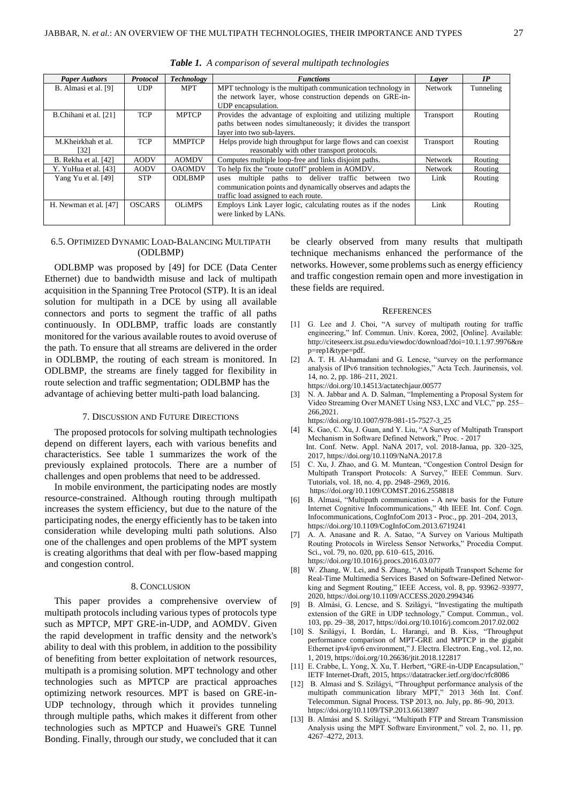| <b>Paper Authors</b>  | <b>Protocol</b>                                                                         | <b>Technology</b> | <b>Functions</b>                                              | Laver          | IP      |
|-----------------------|-----------------------------------------------------------------------------------------|-------------------|---------------------------------------------------------------|----------------|---------|
| B. Almasi et al. [9]  | MPT technology is the multipath communication technology in<br><b>UDP</b><br><b>MPT</b> |                   | <b>Network</b>                                                | Tunneling      |         |
|                       |                                                                                         |                   | the network layer, whose construction depends on GRE-in-      |                |         |
|                       |                                                                                         |                   | UDP encapsulation.                                            |                |         |
| B.Chihani et al. [21] | <b>TCP</b>                                                                              | <b>MPTCP</b>      | Provides the advantage of exploiting and utilizing multiple   | Transport      | Routing |
|                       |                                                                                         |                   | paths between nodes simultaneously; it divides the transport  |                |         |
|                       |                                                                                         |                   | layer into two sub-layers.                                    |                |         |
| M.Kheirkhah et al.    | <b>TCP</b>                                                                              | <b>MMPTCP</b>     | Helps provide high throughput for large flows and can coexist | Transport      | Routing |
| [32]                  |                                                                                         |                   | reasonably with other transport protocols.                    |                |         |
| B. Rekha et al. [42]  | <b>AODV</b>                                                                             | <b>AOMDV</b>      | Computes multiple loop-free and links disjoint paths.         | <b>Network</b> | Routing |
| Y. YuHua et al. [43]  | <b>AODV</b>                                                                             | <b>OAOMDV</b>     | To help fix the "route cutoff" problem in AOMDV.              | <b>Network</b> | Routing |
| Yang Yu et al. [49]   | <b>STP</b>                                                                              | <b>ODLBMP</b>     | multiple paths to deliver traffic<br>between<br>two<br>uses   | Link           | Routing |
|                       |                                                                                         |                   | communication points and dynamically observes and adapts the  |                |         |
|                       |                                                                                         |                   | traffic load assigned to each route.                          |                |         |
| H. Newman et al. [47] | <b>OSCARS</b>                                                                           | <b>OLiMPS</b>     | Employs Link Layer logic, calculating routes as if the nodes  | Link           | Routing |
|                       |                                                                                         |                   | were linked by LANs.                                          |                |         |
|                       |                                                                                         |                   |                                                               |                |         |

*Table 1. A comparison of several multipath technologies*

### 6.5. OPTIMIZED DYNAMIC LOAD-BALANCING MULTIPATH (ODLBMP)

# ODLBMP was proposed by [49] for DCE (Data Center

Ethernet) due to bandwidth misuse and lack of multipath acquisition in the Spanning Tree Protocol (STP). It is an ideal solution for multipath in a DCE by using all available connectors and ports to segment the traffic of all paths continuously. In ODLBMP, traffic loads are constantly monitored for the various available routes to avoid overuse of the path. To ensure that all streams are delivered in the order in ODLBMP, the routing of each stream is monitored. In ODLBMP, the streams are finely tagged for flexibility in route selection and traffic segmentation; ODLBMP has the advantage of achieving better multi-path load balancing.

### 7. DISCUSSION AND FUTURE DIRECTIONS

The proposed protocols for solving multipath technologies depend on different layers, each with various benefits and characteristics. See table 1 summarizes the work of the previously explained protocols. There are a number of challenges and open problems that need to be addressed.

In mobile environment, the participating nodes are mostly resource-constrained. Although routing through multipath increases the system efficiency, but due to the nature of the participating nodes, the energy efficiently has to be taken into consideration while developing multi path solutions. Also one of the challenges and open problems of the MPT system is creating algorithms that deal with per flow-based mapping and congestion control.

### 8. CONCLUSION

This paper provides a comprehensive overview of multipath protocols including various types of protocols type such as MPTCP, MPT GRE-in-UDP, and AOMDV. Given the rapid development in traffic density and the network's ability to deal with this problem, in addition to the possibility of benefiting from better exploitation of network resources, multipath is a promising solution. MPT technology and other technologies such as MPTCP are practical approaches optimizing network resources. MPT is based on GRE-in-UDP technology, through which it provides tunneling through multiple paths, which makes it different from other technologies such as MPTCP and Huawei's GRE Tunnel Bonding. Finally, through our study, we concluded that it can be clearly observed from many results that multipath technique mechanisms enhanced the performance of the networks. However, some problems such as energy efficiency and traffic congestion remain open and more investigation in these fields are required.

### **REFERENCES**

- [1] G. Lee and J. Choi, "A survey of multipath routing for traffic engineering," Inf. Commun. Univ. Korea, 2002, [Online]. Available: [http://citeseerx.ist.psu.edu/viewdoc/download?doi=10.1.1.97.9976&re](http://citeseerx.ist.psu.edu/viewdoc/download?doi=10.1.1.97.9976&rep=rep1&type=pdf.) [p=rep1&type=pdf.](http://citeseerx.ist.psu.edu/viewdoc/download?doi=10.1.1.97.9976&rep=rep1&type=pdf.)
- [2] A. T. H. Al-hamadani and G. Lencse, "survey on the performance analysis of IPv6 transition technologies," Acta Tech. Jaurinensis, vol. 14, no. 2, pp. 186–211, 2021.
	- <https://doi.org/10.14513/actatechjaur.00577>
- [3] N. A. Jabbar and A. D. Salman, "Implementing a Proposal System for Video Streaming Over MANET Using NS3, LXC and VLC," pp. 255– 266,2021.

[https://doi.org/10.1007/978-981-15-7527-3\\_25](https://doi.org/10.1007/978-981-15-7527-3_25)

- [4] K. Gao, C. Xu, J. Guan, and Y. Liu, "A Survey of Multipath Transport Mechanism in Software Defined Network," Proc. - 2017 Int. Conf. Netw. Appl. NaNA 2017, vol. 2018-Janua, pp. 320–325, 2017,<https://doi.org/10.1109/NaNA.2017.8>
- [5] C. Xu, J. Zhao, and G. M. Muntean, "Congestion Control Design for Multipath Transport Protocols: A Survey," IEEE Commun. Surv. Tutorials, vol. 18, no. 4, pp. 2948–2969, 2016. <https://doi.org/10.1109/COMST.2016.2558818>
- [6] B. Almasi, "Multipath communication A new basis for the Future Internet Cognitive Infocommunications," 4th IEEE Int. Conf. Cogn. Infocommunications, CogInfoCom 2013 - Proc., pp. 201–204, 2013, <https://doi.org/10.1109/CogInfoCom.2013.6719241>
- [7] A. A. Anasane and R. A. Satao, "A Survey on Various Multipath Routing Protocols in Wireless Sensor Networks," Procedia Comput. Sci., vol. 79, no. 020, pp. 610–615, 2016. <https://doi.org/10.1016/j.procs.2016.03.077>
- [8] W. Zhang, W. Lei, and S. Zhang, "A Multipath Transport Scheme for Real-Time Multimedia Services Based on Software-Defined Networking and Segment Routing," IEEE Access, vol. 8, pp. 93962–93977, 2020,<https://doi.org/10.1109/ACCESS.2020.2994346>
- [9] B. Almási, G. Lencse, and S. Szilágyi, "Investigating the multipath extension of the GRE in UDP technology," Comput. Commun., vol. 103, pp. 29–38, 2017,<https://doi.org/10.1016/j.comcom.2017.02.002>
- [10] S. Szilágyi, I. Bordán, L. Harangi, and B. Kiss, "Throughput performance comparison of MPT-GRE and MPTCP in the gigabit Ethernet ipv4/ipv6 environment," J. Electra. Electron. Eng., vol. 12, no. 1, 2019,<https://doi.org/10.26636/jtit.2018.122817>
- [11] E. Crabbe, L. Yong, X. Xu, T. Herbert, "GRE-in-UDP Encapsulation," IETF Internet-Draft, 2015[, https://datatracker.ietf.org/doc/rfc8086](https://datatracker.ietf.org/doc/rfc8086)
- [12] B. Almasi and S. Szilágyi, "Throughput performance analysis of the multipath communication library MPT," 2013 36th Int. Conf. Telecommun. Signal Process. TSP 2013, no. July, pp. 86–90, 2013. <https://doi.org/10.1109/TSP.2013.6613897>
- [13] B. Almási and S. Szilágyi, "Multipath FTP and Stream Transmission Analysis using the MPT Software Environment," vol. 2, no. 11, pp. 4267–4272, 2013.